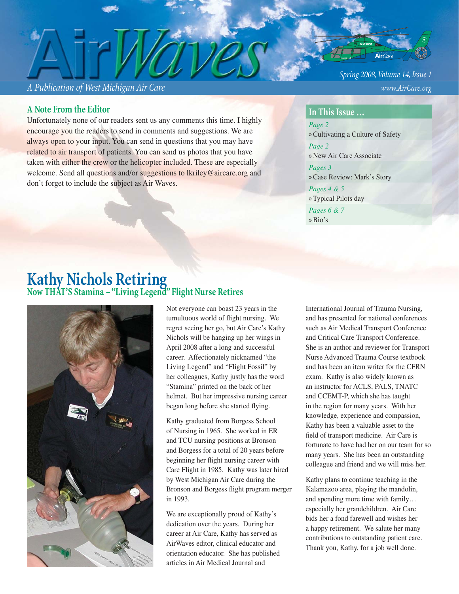## *A Publication of West Michigan Air Care www.AirCare.org*

## **A Note From the Editor**

Unfortunately none of our readers sent us any comments this time. I highly encourage you the readers to send in comments and suggestions. We are always open to your input. You can send in questions that you may have related to air transport of patients. You can send us photos that you have taken with either the crew or the helicopter included. These are especially welcome. Send all questions and/or suggestions to lkriley@aircare.org and don't forget to include the subject as Air Waves.

*Spring 2008, Volume 14, Issue 1*

### **In This Issue …**

*Page 2*  »Cultivating a Culture of Safety *Page 2* » New Air Care Associate *Pages 3* »Case Review: Mark's Story

*Pages 4 & 5* » Typical Pilots day *Pages 6 & 7* »Bio's

# **Kathy Nichols Retiring Now THAT'S Stamina – "Living Legend" Flight Nurse Retires**



Not everyone can boast 23 years in the tumultuous world of flight nursing. We regret seeing her go, but Air Care's Kathy Nichols will be hanging up her wings in April 2008 after a long and successful career. Affectionately nicknamed "the Living Legend" and "Flight Fossil" by her colleagues, Kathy justly has the word "Stamina" printed on the back of her helmet. But her impressive nursing career began long before she started flying.

Kathy graduated from Borgess School of Nursing in 1965. She worked in ER and TCU nursing positions at Bronson and Borgess for a total of 20 years before beginning her flight nursing career with Care Flight in 1985. Kathy was later hired by West Michigan Air Care during the Bronson and Borgess flight program merger in 1993.

We are exceptionally proud of Kathy's dedication over the years. During her career at Air Care, Kathy has served as AirWaves editor, clinical educator and orientation educator. She has published articles in Air Medical Journal and

International Journal of Trauma Nursing, and has presented for national conferences such as Air Medical Transport Conference and Critical Care Transport Conference. She is an author and reviewer for Transport Nurse Advanced Trauma Course textbook and has been an item writer for the CFRN exam. Kathy is also widely known as an instructor for ACLS, PALS, TNATC and CCEMT-P, which she has taught in the region for many years. With her knowledge, experience and compassion, Kathy has been a valuable asset to the field of transport medicine. Air Care is fortunate to have had her on our team for so many years. She has been an outstanding colleague and friend and we will miss her.

Kathy plans to continue teaching in the Kalamazoo area, playing the mandolin, and spending more time with family… especially her grandchildren. Air Care bids her a fond farewell and wishes her a happy retirement. We salute her many contributions to outstanding patient care. Thank you, Kathy, for a job well done.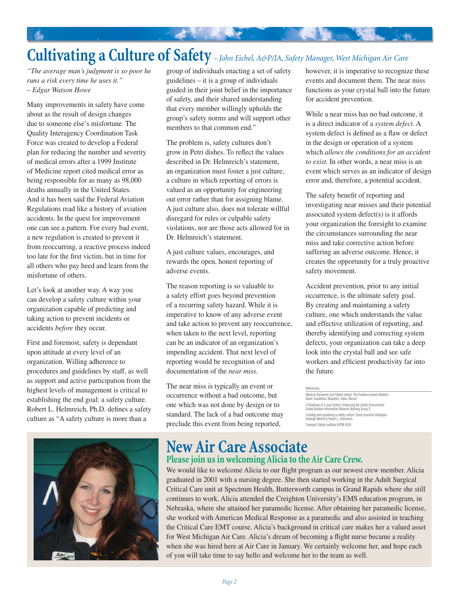# **Cultivating a Culture of Safety** *– John Eichel, A&P/IA, Safety Manager, West Michigan Air Care*

*"The average man's judgment is so poor he runs a risk every time he uses it." – Edgar Watson Howe*

Many improvements in safety have come about as the result of design changes due to someone else's misfortune. The Quality Interagency Coordination Task Force was created to develop a Federal plan for reducing the number and severity of medical errors after a 1999 Institute of Medicine report cited medical error as being responsible for as many as 98,000 deaths annually in the United States. And it has been said the Federal Aviation Regulations read like a history of aviation accidents. In the quest for improvement one can see a pattern. For every bad event, a new regulation is created to prevent it from reoccurring, a reactive process indeed too late for the first victim, but in time for all others who pay heed and learn from the misfortune of others.

Let's look at another way. A way you can develop a safety culture within your organization capable of predicting and taking action to prevent incidents or accidents *before* they occur.

First and foremost, safety is dependant upon attitude at every level of an organization. Willing adherence to procedures and guidelines by staff, as well as support and active participation from the highest levels of management is critical to establishing the end goal: a safety culture. Robert L. Helmreich, Ph.D. defines a safety culture as "A safety culture is more than a



group of individuals enacting a set of safety guidelines – it is a group of individuals guided in their joint belief in the importance of safety, and their shared understanding that every member willingly upholds the group's safety norms and will support other members to that common end."

The problem is, safety cultures don't grow in Petri dishes. To reflect the values described in Dr. Helmreich's statement, an organization must foster a just culture, a culture in which reporting of errors is valued as an opportunity for engineering out error rather than for assigning blame. A just culture also, does not tolerate willful disregard for rules or culpable safety violations, nor are those acts allowed for in Dr. Helmreich's statement.

A just culture values, encourages, and rewards the open, honest reporting of adverse events.

The reason reporting is so valuable to a safety effort goes beyond prevention of a recurring safety hazard. While it is imperative to know of any adverse event and take action to prevent any reoccurrence, when taken to the next level, reporting can be an indicator of an organization's impending accident. That next level of reporting would be recognition of and documentation of the *near miss.*

The near miss is typically an event or occurrence without a bad outcome, but one which was not done by design or to standard. The lack of a bad outcome may preclude this event from being reported,

however, it is imperative to recognize these events and document them. The near miss functions as your crystal ball into the future for accident prevention.

While a near miss has no bad outcome, it is a direct indicator of a *system defect.* A system defect is defined as a flaw or defect in the design or operation of a system which *allows the conditions for an accident to exist.* In other words, a near miss is an event which serves as an indicator of design error and, therefore, a potential accident.

The safety benefit of reporting and investigating near misses and their potential associated system defect(s) is it affords your organization the foresight to examine the circumstances surrounding the near miss and take corrective action before suffering an adverse outcome. Hence, it creates the opportunity for a truly proactive safety movement.

Accident prevention, prior to any initial occurrence, is the ultimate safety goal. By creating and maintaining a safety culture, one which understands the value and effective utilization of reporting, and thereby identifying and correcting system defects, your organization can take a deep look into the crystal ball and see safe workers and efficient productivity far into the future.

# **New Air Care Associate Please join us in welcoming Alicia to the Air Care Crew.**

We would like to welcome Alicia to our flight program as our newest crew member. Alicia graduated in 2001 with a nursing degree. She then started working in the Adult Surgical Critical Care unit at Spectrum Health, Butterworth campus in Grand Rapids where she still continues to work. Alicia attended the Creighton University's EMS education program, in Nebraska, where she attained her paramedic license. After obtaining her paramedic license, she worked with American Medical Response as a paramedic and also assisted in teaching the Critical Care EMT course. Alicia's background in critical care makes her a valued asset for West Michigan Air Care. Alicia's dream of becoming a flight nurse became a reality when she was hired here at Air Care in January. We certainly welcome her, and hope each of you will take time to say hello and welcome her to the team as well.

References

*Medical Teamwork and Patient Safety: The Evidence-based Relation:* Baker, Gustafson, Beaubien, Salas, Barach *A Roadmap to a Just Culture: Enhancing the Safety Environment:* Global Aviation Information Network Working Group E. *Creating and sustaining a safety culture: Some practical strategies:* Ashleigh Merritt & Robert L. Helmreich Transport Safety Institute ASPM 0038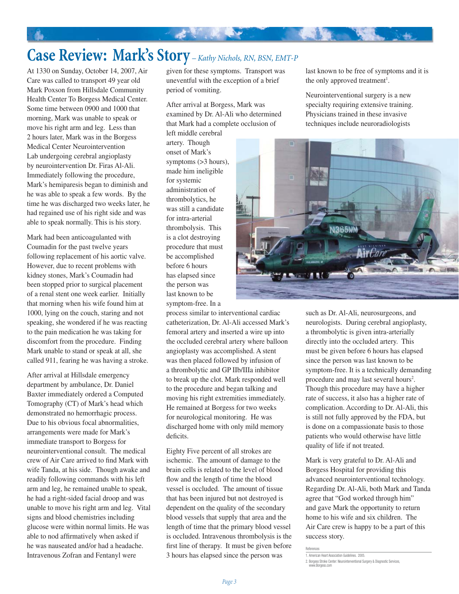# **Case Review: Mark's Story** *– Kathy Nichols, RN, BSN, EMT-P*

A.

At 1330 on Sunday, October 14, 2007, Air Care was called to transport 49 year old Mark Poxson from Hillsdale Community Health Center To Borgess Medical Center. Some time between 0900 and 1000 that morning, Mark was unable to speak or move his right arm and leg. Less than 2 hours later, Mark was in the Borgess Medical Center Neurointervention Lab undergoing cerebral angioplasty by neurointervention Dr. Firas Al-Ali. Immediately following the procedure, Mark's hemiparesis began to diminish and he was able to speak a few words. By the time he was discharged two weeks later, he had regained use of his right side and was able to speak normally. This is his story.

Mark had been anticoagulanted with Coumadin for the past twelve years following replacement of his aortic valve. However, due to recent problems with kidney stones, Mark's Coumadin had been stopped prior to surgical placement of a renal stent one week earlier. Initially that morning when his wife found him at 1000, lying on the couch, staring and not speaking, she wondered if he was reacting to the pain medication he was taking for discomfort from the procedure. Finding Mark unable to stand or speak at all, she called 911, fearing he was having a stroke.

After arrival at Hillsdale emergency department by ambulance, Dr. Daniel Baxter immediately ordered a Computed Tomography (CT) of Mark's head which demonstrated no hemorrhagic process. Due to his obvious focal abnormalities, arrangements were made for Mark's immediate transport to Borgess for neurointerventional consult. The medical crew of Air Care arrived to find Mark with wife Tanda, at his side. Though awake and readily following commands with his left arm and leg, he remained unable to speak, he had a right-sided facial droop and was unable to move his right arm and leg. Vital signs and blood chemistries including glucose were within normal limits. He was able to nod affirmatively when asked if he was nauseated and/or had a headache. Intravenous Zofran and Fentanyl were

given for these symptoms. Transport was uneventful with the exception of a brief period of vomiting.

After arrival at Borgess, Mark was examined by Dr. Al-Ali who determined that Mark had a complete occlusion of left middle cerebral

artery. Though onset of Mark's symptoms (>3 hours), made him ineligible for systemic administration of thrombolytics, he was still a candidate for intra-arterial thrombolysis. This is a clot destroying procedure that must be accomplished before 6 hours has elapsed since the person was last known to be symptom-free. In a

process similar to interventional cardiac catheterization, Dr. Al-Ali accessed Mark's femoral artery and inserted a wire up into the occluded cerebral artery where balloon angioplasty was accomplished. A stent was then placed followed by infusion of a thrombolytic and GP IIb/IIIa inhibitor to break up the clot. Mark responded well to the procedure and began talking and moving his right extremities immediately. He remained at Borgess for two weeks for neurological monitoring. He was discharged home with only mild memory deficits.

Eighty Five percent of all strokes are ischemic. The amount of damage to the brain cells is related to the level of blood flow and the length of time the blood vessel is occluded. The amount of tissue that has been injured but not destroyed is dependent on the quality of the secondary blood vessels that supply that area and the length of time that the primary blood vessel is occluded. Intravenous thrombolysis is the first line of therapy. It must be given before 3 hours has elapsed since the person was

last known to be free of symptoms and it is the only approved treatment<sup>1</sup>.

Neurointerventional surgery is a new specialty requiring extensive training. Physicians trained in these invasive techniques include neuroradiologists



such as Dr. Al-Ali, neurosurgeons, and neurologists. During cerebral angioplasty, a thrombolytic is given intra-arterially directly into the occluded artery. This must be given before 6 hours has elapsed since the person was last known to be symptom-free. It is a technically demanding procedure and may last several hours<sup>2</sup>. Though this procedure may have a higher rate of success, it also has a higher rate of complication. According to Dr. Al-Ali, this is still not fully approved by the FDA, but is done on a compassionate basis to those patients who would otherwise have little quality of life if not treated.

Mark is very grateful to Dr. Al-Ali and Borgess Hospital for providing this advanced neurointerventional technology. Regarding Dr. Al-Ali, both Mark and Tanda agree that "God worked through him" and gave Mark the opportunity to return home to his wife and six children. The Air Care crew is happy to be a part of this success story.

References

<sup>1.</sup> American Heart Association Guidelines. 2005.

<sup>2.</sup> Borgess Stroke Center: Neurointerventional Surgery & Diagnostic Services, www.Borgess.com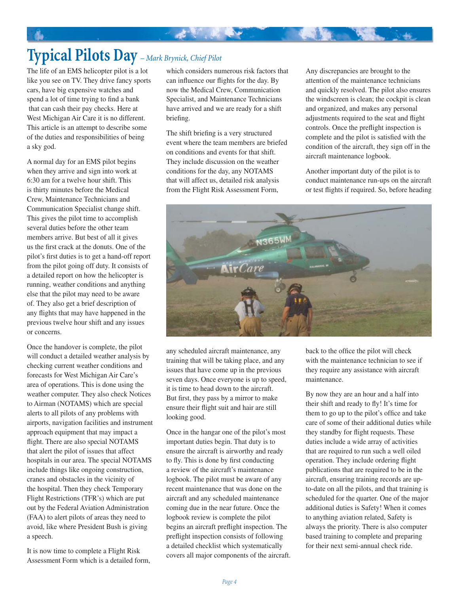The life of an EMS helicopter pilot is a lot like you see on TV. They drive fancy sports cars, have big expensive watches and spend a lot of time trying to find a bank that can cash their pay checks. Here at West Michigan Air Care it is no different. This article is an attempt to describe some of the duties and responsibilities of being a sky god.

A normal day for an EMS pilot begins when they arrive and sign into work at 6:30 am for a twelve hour shift. This is thirty minutes before the Medical Crew, Maintenance Technicians and Communication Specialist change shift. This gives the pilot time to accomplish several duties before the other team members arrive. But best of all it gives us the first crack at the donuts. One of the pilot's first duties is to get a hand-off report from the pilot going off duty. It consists of a detailed report on how the helicopter is running, weather conditions and anything else that the pilot may need to be aware of. They also get a brief description of any flights that may have happened in the previous twelve hour shift and any issues or concerns.

Once the handover is complete, the pilot will conduct a detailed weather analysis by checking current weather conditions and forecasts for West Michigan Air Care's area of operations. This is done using the weather computer. They also check Notices to Airman (NOTAMS) which are special alerts to all pilots of any problems with airports, navigation facilities and instrument approach equipment that may impact a flight. There are also special NOTAMS that alert the pilot of issues that affect hospitals in our area. The special NOTAMS include things like ongoing construction, cranes and obstacles in the vicinity of the hospital. Then they check Temporary Flight Restrictions (TFR's) which are put out by the Federal Aviation Administration (FAA) to alert pilots of areas they need to avoid, like where President Bush is giving a speech.

It is now time to complete a Flight Risk Assessment Form which is a detailed form,

which considers numerous risk factors that can influence our flights for the day. By now the Medical Crew, Communication Specialist, and Maintenance Technicians have arrived and we are ready for a shift briefing.

**大家 化学** 

The shift briefing is a very structured event where the team members are briefed on conditions and events for that shift. They include discussion on the weather conditions for the day, any NOTAMS that will affect us, detailed risk analysis from the Flight Risk Assessment Form,

Any discrepancies are brought to the attention of the maintenance technicians and quickly resolved. The pilot also ensures the windscreen is clean; the cockpit is clean and organized, and makes any personal adjustments required to the seat and flight controls. Once the preflight inspection is complete and the pilot is satisfied with the condition of the aircraft, they sign off in the aircraft maintenance logbook.

Another important duty of the pilot is to conduct maintenance run-ups on the aircraft or test flights if required. So, before heading



any scheduled aircraft maintenance, any training that will be taking place, and any issues that have come up in the previous seven days. Once everyone is up to speed, it is time to head down to the aircraft. But first, they pass by a mirror to make ensure their flight suit and hair are still looking good.

Once in the hangar one of the pilot's most important duties begin. That duty is to ensure the aircraft is airworthy and ready to fly. This is done by first conducting a review of the aircraft's maintenance logbook. The pilot must be aware of any recent maintenance that was done on the aircraft and any scheduled maintenance coming due in the near future. Once the logbook review is complete the pilot begins an aircraft preflight inspection. The preflight inspection consists of following a detailed checklist which systematically covers all major components of the aircraft.

back to the office the pilot will check with the maintenance technician to see if they require any assistance with aircraft maintenance.

By now they are an hour and a half into their shift and ready to fly! It's time for them to go up to the pilot's office and take care of some of their additional duties while they standby for flight requests. These duties include a wide array of activities that are required to run such a well oiled operation. They include ordering flight publications that are required to be in the aircraft, ensuring training records are upto-date on all the pilots, and that training is scheduled for the quarter. One of the major additional duties is Safety! When it comes to anything aviation related, Safety is always the priority. There is also computer based training to complete and preparing for their next semi-annual check ride.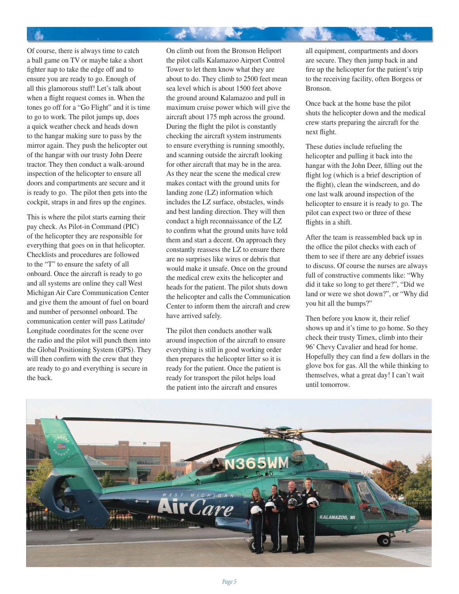Of course, there is always time to catch a ball game on TV or maybe take a short fighter nap to take the edge off and to ensure you are ready to go. Enough of all this glamorous stuff! Let's talk about when a flight request comes in. When the tones go off for a "Go Flight" and it is time to go to work. The pilot jumps up, does a quick weather check and heads down to the hangar making sure to pass by the mirror again. They push the helicopter out of the hangar with our trusty John Deere tractor. They then conduct a walk-around inspection of the helicopter to ensure all doors and compartments are secure and it is ready to go. The pilot then gets into the cockpit, straps in and fires up the engines.

This is where the pilot starts earning their pay check. As Pilot-in Command (PIC) of the helicopter they are responsible for everything that goes on in that helicopter. Checklists and procedures are followed to the "T" to ensure the safety of all onboard. Once the aircraft is ready to go and all systems are online they call West Michigan Air Care Communication Center and give them the amount of fuel on board and number of personnel onboard. The communication center will pass Latitude/ Longitude coordinates for the scene over the radio and the pilot will punch them into the Global Positioning System (GPS). They will then confirm with the crew that they are ready to go and everything is secure in the back.

On climb out from the Bronson Heliport the pilot calls Kalamazoo Airport Control Tower to let them know what they are about to do. They climb to 2500 feet mean sea level which is about 1500 feet above the ground around Kalamazoo and pull in maximum cruise power which will give the aircraft about 175 mph across the ground. During the flight the pilot is constantly checking the aircraft system instruments to ensure everything is running smoothly, and scanning outside the aircraft looking for other aircraft that may be in the area. As they near the scene the medical crew makes contact with the ground units for landing zone (LZ) information which includes the LZ surface, obstacles, winds and best landing direction. They will then conduct a high reconnaissance of the LZ to confirm what the ground units have told them and start a decent. On approach they constantly reassess the LZ to ensure there are no surprises like wires or debris that would make it unsafe. Once on the ground the medical crew exits the helicopter and heads for the patient. The pilot shuts down the helicopter and calls the Communication Center to inform them the aircraft and crew have arrived safely.

Æ.

The pilot then conducts another walk around inspection of the aircraft to ensure everything is still in good working order then prepares the helicopter litter so it is ready for the patient. Once the patient is ready for transport the pilot helps load the patient into the aircraft and ensures

all equipment, compartments and doors are secure. They then jump back in and fire up the helicopter for the patient's trip to the receiving facility, often Borgess or Bronson.

Once back at the home base the pilot shuts the helicopter down and the medical crew starts preparing the aircraft for the next flight.

These duties include refueling the helicopter and pulling it back into the hangar with the John Deer, filling out the flight log (which is a brief description of the flight), clean the windscreen, and do one last walk around inspection of the helicopter to ensure it is ready to go. The pilot can expect two or three of these flights in a shift.

After the team is reassembled back up in the office the pilot checks with each of them to see if there are any debrief issues to discuss. Of course the nurses are always full of constructive comments like: "Why did it take so long to get there?", "Did we land or were we shot down?", or "Why did you hit all the bumps?"

Then before you know it, their relief shows up and it's time to go home. So they check their trusty Timex, climb into their 96' Chevy Cavalier and head for home. Hopefully they can find a few dollars in the glove box for gas. All the while thinking to themselves, what a great day! I can't wait until tomorrow.

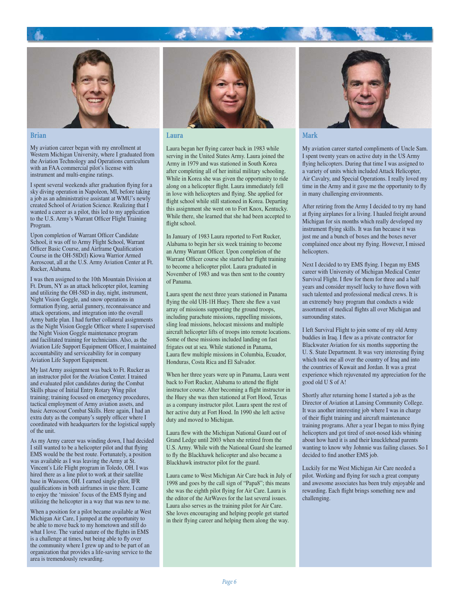



### **Brian**

My aviation career began with my enrollment at Western Michigan University, where I graduated from the Aviation Technology and Operations curriculum with an FAA commercial pilot's license with instrument and multi-engine ratings.

I spent several weekends after graduation flying for a sky diving operation in Napoleon, MI, before taking a job as an administrative assistant at WMU's newly created School of Aviation Science. Realizing that I wanted a career as a pilot, this led to my application to the U.S. Army's Warrant Officer Flight Training Program.

Upon completion of Warrant Officer Candidate School, it was off to Army Flight School, Warrant Officer Basic Course, and Airframe Qualification Course in the OH-58D(I) Kiowa Warrior Armed Aeroscout, all at the U.S. Army Aviation Center at Ft. Rucker, Alabama.

I was then assigned to the 10th Mountain Division at Ft. Drum, NY as an attack helicopter pilot, learning and utilizing the OH-58D in day, night, instrument, Night Vision Goggle, and snow operations in formation flying, aerial gunnery, reconnaissance and attack operations, and integration into the overall Army battle plan. I had further collateral assignments as the Night Vision Goggle Officer where I supervised the Night Vision Goggle maintenance program and facilitated training for technicians. Also, as the Aviation Life Support Equipment Officer, I maintained accountability and serviceability for in company Aviation Life Support Equipment.

My last Army assignment was back to Ft. Rucker as an instructor pilot for the Aviation Center. I trained and evaluated pilot candidates during the Combat Skills phase of Initial Entry Rotary Wing pilot training; training focused on emergency procedures, tactical employment of Army aviation assets, and basic Aeroscout Combat Skills. Here again, I had an extra duty as the company's supply officer where I coordinated with headquarters for the logistical supply of the unit.

As my Army career was winding down, I had decided I still wanted to be a helicopter pilot and that flying EMS would be the best route. Fortunately, a position was available as I was leaving the Army at St. Vincent's Life Flight program in Toledo, OH. I was hired there as a line pilot to work at their satellite base in Wauseon, OH. I earned single pilot, IFR qualifications in both airframes in use there. I came to enjoy the 'mission' focus of the EMS flying and utilizing the helicopter in a way that was new to me.

When a position for a pilot became available at West Michigan Air Care, I jumped at the opportunity to be able to move back to my hometown and still do what I love. The varied nature of the flights in EMS is a challenge at times, but being able to fly over the community where I grew up and to be part of an organization that provides a life-saving service to the area is tremendously rewarding.



#### **Laura**

Laura began her flying career back in 1983 while serving in the United States Army. Laura joined the Army in 1979 and was stationed in South Korea after completing all of her initial military schooling. While in Korea she was given the opportunity to ride along on a helicopter flight. Laura immediately fell in love with helicopters and flying. She applied for flight school while still stationed in Korea. Departing this assignment she went on to Fort Knox, Kentucky. While there, she learned that she had been accepted to flight school.

In January of 1983 Laura reported to Fort Rucker, Alabama to begin her six week training to become an Army Warrant Officer. Upon completion of the Warrant Officer course she started her flight training to become a helicopter pilot. Laura graduated in November of 1983 and was then sent to the country of Panama.

Laura spent the next three years stationed in Panama flying the old UH-1H Huey. There she flew a vast array of missions supporting the ground troops, including parachute missions, rappelling missions, sling load missions, helocast missions and multiple aircraft helicopter lifts of troops into remote locations. Some of these missions included landing on fast frigates out at sea. While stationed in Panama, Laura flew multiple missions in Columbia, Ecuador, Honduras, Costa Rica and El Salvador.

When her three years were up in Panama, Laura went back to Fort Rucker, Alabama to attend the flight instructor course. After becoming a flight instructor in the Huey she was then stationed at Fort Hood, Texas as a company instructor pilot. Laura spent the rest of her active duty at Fort Hood. In 1990 she left active duty and moved to Michigan.

Laura flew with the Michigan National Guard out of Grand Ledge until 2003 when she retired from the U.S. Army. While with the National Guard she learned to fly the Blackhawk helicopter and also became a Blackhawk instructor pilot for the guard.

Laura came to West Michigan Air Care back in July of 1998 and goes by the call sign of "Papa8"; this means she was the eighth pilot flying for Air Care. Laura is the editor of the AirWaves for the last several issues. Laura also serves as the training pilot for Air Care. She loves encouraging and helping people get started in their flying career and helping them along the way.



### **Mark**

My aviation career started compliments of Uncle Sam. I spent twenty years on active duty in the US Army flying helicopters. During that time I was assigned to a variety of units which included Attack Helicopter, Air Cavalry, and Special Operations. I really loved my time in the Army and it gave me the opportunity to fly in many challenging environments.

After retiring from the Army I decided to try my hand at flying airplanes for a living. I hauled freight around Michigan for six months which really developed my instrument flying skills. It was fun because it was just me and a bunch of boxes and the boxes never complained once about my flying. However, I missed helicopters.

Next I decided to try EMS flying. I began my EMS career with University of Michigan Medical Center Survival Flight. I flew for them for three and a half years and consider myself lucky to have flown with such talented and professional medical crews. It is an extremely busy program that conducts a wide assortment of medical flights all over Michigan and surrounding states.

I left Survival Flight to join some of my old Army buddies in Iraq. I flew as a private contractor for Blackwater Aviation for six months supporting the U. S. State Department. It was very interesting flying which took me all over the country of Iraq and into the countries of Kuwait and Jordan. It was a great experience which rejuvenated my appreciation for the good old U S of A!

Shortly after returning home I started a job as the Director of Aviation at Lansing Community College. It was another interesting job where I was in charge of their flight training and aircraft maintenance training programs. After a year I began to miss flying helicopters and got tired of snot-nosed kids whining about how hard it is and their knucklehead parents wanting to know why Johnnie was failing classes. So I decided to find another EMS job.

Luckily for me West Michigan Air Care needed a pilot. Working and flying for such a great company and awesome associates has been truly enjoyable and rewarding. Each flight brings something new and challenging.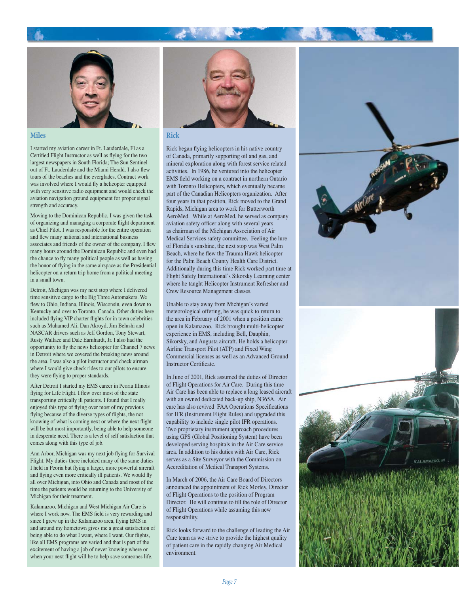

**Miles**

I started my aviation career in Ft. Lauderdale, Fl as a Certified Flight Instructor as well as flying for the two largest newspapers in South Florida; The Sun Sentinel out of Ft. Lauderdale and the Miami Herald. I also flew tours of the beaches and the everglades. Contract work was involved where I would fly a helicopter equipped with very sensitive radio equipment and would check the aviation navigation ground equipment for proper signal strength and accuracy.

Moving to the Dominican Republic, I was given the task of organizing and managing a corporate flight department as Chief Pilot. I was responsible for the entire operation and flew many national and international business associates and friends of the owner of the company. I flew many hours around the Dominican Republic and even had the chance to fly many political people as well as having the honor of flying in the same airspace as the Presidential helicopter on a return trip home from a political meeting in a small town.

Detroit, Michigan was my next stop where I delivered time sensitive cargo to the Big Three Automakers. We flew to Ohio, Indiana, Illinois, Wisconsin, even down to Kentucky and over to Toronto, Canada. Other duties here included flying VIP charter flights for in town celebrities such as Muhamed Ali, Dan Akroyd, Jim Belushi and NASCAR drivers such as Jeff Gordon, Tony Stewart, Rusty Wallace and Dale Earnhardt, Jr. I also had the opportunity to fly the news helicopter for Channel 7 news in Detroit where we covered the breaking news around the area. I was also a pilot instructor and check airman where I would give check rides to our pilots to ensure they were flying to proper standards.

After Detroit I started my EMS career in Peoria Illinois flying for Life Flight. I flew over most of the state transporting critically ill patients. I found that I really enjoyed this type of flying over most of my previous flying because of the diverse types of flights, the not knowing of what is coming next or where the next flight will be but most importantly, being able to help someone in desperate need. There is a level of self satisfaction that comes along with this type of job.

Ann Arbor, Michigan was my next job flying for Survival Flight. My duties there included many of the same duties I held in Peoria but flying a larger, more powerful aircraft and flying even more critically ill patients. We would fly all over Michigan, into Ohio and Canada and most of the time the patients would be returning to the University of Michigan for their treatment.

Kalamazoo, Michigan and West Michigan Air Care is where I work now. The EMS field is very rewarding and since I grew up in the Kalamazoo area, flying EMS in and around my hometown gives me a great satisfaction of being able to do what I want, where I want. Our flights, like all EMS programs are varied and that is part of the excitement of having a job of never knowing where or when your next flight will be to help save someones life.



#### **Rick**

Rick began flying helicopters in his native country of Canada, primarily supporting oil and gas, and mineral exploration along with forest service related activities. In 1986, he ventured into the helicopter EMS field working on a contract in northern Ontario with Toronto Helicopters, which eventually became part of the Canadian Helicopters organization. After four years in that position, Rick moved to the Grand Rapids, Michigan area to work for Butterworth AeroMed. While at AeroMed, he served as company aviation safety officer along with several years as chairman of the Michigan Association of Air Medical Services safety committee. Feeling the lure of Florida's sunshine, the next stop was West Palm Beach, where he flew the Trauma Hawk helicopter for the Palm Beach County Health Care District. Additionally during this time Rick worked part time at Flight Safety International's Sikorsky Learning center where he taught Helicopter Instrument Refresher and Crew Resource Management classes.

Unable to stay away from Michigan's varied meteorological offering, he was quick to return to the area in February of 2001 when a position came open in Kalamazoo. Rick brought multi-helicopter experience in EMS, including Bell, Dauphin, Sikorsky, and Augusta aircraft. He holds a helicopter Airline Transport Pilot (ATP) and Fixed Wing Commercial licenses as well as an Advanced Ground Instructor Certificate.

In June of 2001, Rick assumed the duties of Director of Flight Operations for Air Care. During this time Air Care has been able to replace a long leased aircraft with an owned dedicated back-up ship, N365A. Air care has also revived FAA Operations Specifications for IFR (Instrument Flight Rules) and upgraded this capability to include single pilot IFR operations. Two proprietary instrument approach procedures using GPS (Global Positioning System) have been developed serving hospitals in the Air Care service area. In addition to his duties with Air Care, Rick serves as a Site Surveyor with the Commission on Accreditation of Medical Transport Systems.

In March of 2006, the Air Care Board of Directors announced the appointment of Rick Morley, Director of Flight Operations to the position of Program Director. He will continue to fill the role of Director of Flight Operations while assuming this new responsibility.

Rick looks forward to the challenge of leading the Air Care team as we strive to provide the highest quality of patient care in the rapidly changing Air Medical environment.